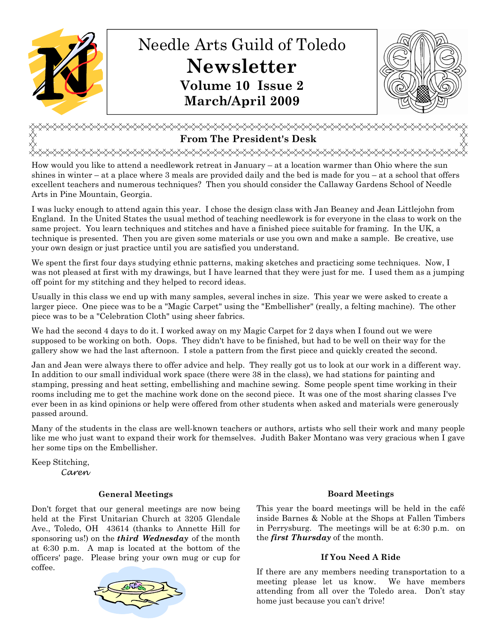

# Needle Arts Guild of Toledo Newsletter Volume 10 Issue 2 March/April 2009



## <del></del> From The President's Desk

# <del></del>

How would you like to attend a needlework retreat in January – at a location warmer than Ohio where the sun shines in winter – at a place where 3 meals are provided daily and the bed is made for you – at a school that offers excellent teachers and numerous techniques? Then you should consider the Callaway Gardens School of Needle Arts in Pine Mountain, Georgia.

I was lucky enough to attend again this year. I chose the design class with Jan Beaney and Jean Littlejohn from England. In the United States the usual method of teaching needlework is for everyone in the class to work on the same project. You learn techniques and stitches and have a finished piece suitable for framing. In the UK, a technique is presented. Then you are given some materials or use you own and make a sample. Be creative, use your own design or just practice until you are satisfied you understand.

We spent the first four days studying ethnic patterns, making sketches and practicing some techniques. Now, I was not pleased at first with my drawings, but I have learned that they were just for me. I used them as a jumping off point for my stitching and they helped to record ideas.

Usually in this class we end up with many samples, several inches in size. This year we were asked to create a larger piece. One piece was to be a "Magic Carpet" using the "Embellisher" (really, a felting machine). The other piece was to be a "Celebration Cloth" using sheer fabrics.

We had the second 4 days to do it. I worked away on my Magic Carpet for 2 days when I found out we were supposed to be working on both. Oops. They didn't have to be finished, but had to be well on their way for the gallery show we had the last afternoon. I stole a pattern from the first piece and quickly created the second.

Jan and Jean were always there to offer advice and help. They really got us to look at our work in a different way. In addition to our small individual work space (there were 38 in the class), we had stations for painting and stamping, pressing and heat setting, embellishing and machine sewing. Some people spent time working in their rooms including me to get the machine work done on the second piece. It was one of the most sharing classes I've ever been in as kind opinions or help were offered from other students when asked and materials were generously passed around.

Many of the students in the class are well-known teachers or authors, artists who sell their work and many people like me who just want to expand their work for themselves. Judith Baker Montano was very gracious when I gave her some tips on the Embellisher.

Keep Stitching, Caren

## General Meetings

Don't forget that our general meetings are now being held at the First Unitarian Church at 3205 Glendale Ave., Toledo, OH 43614 (thanks to Annette Hill for sponsoring us!) on the *third Wednesday* of the month at 6:30 p.m. A map is located at the bottom of the officers' page. Please bring your own mug or cup for coffee.



## Board Meetings

This year the board meetings will be held in the café inside Barnes & Noble at the Shops at Fallen Timbers in Perrysburg. The meetings will be at 6:30 p.m. on the *first Thursday* of the month.

# If You Need A Ride

If there are any members needing transportation to a meeting please let us know. We have members attending from all over the Toledo area. Don't stay home just because you can't drive!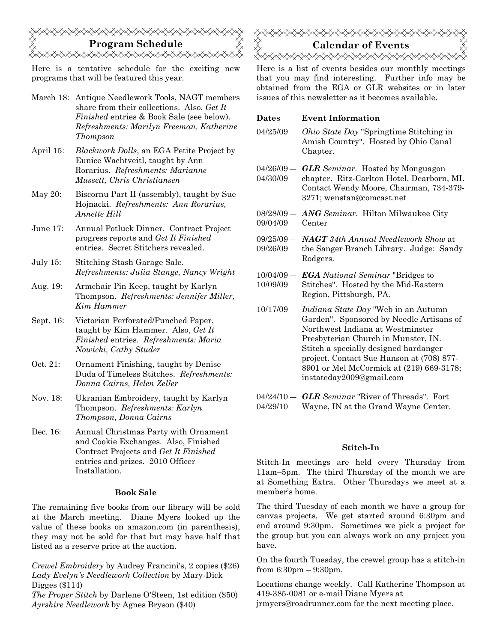# Program Schedule Calendar of Events

Here is a tentative schedule for the exciting new programs that will be featured this year.

- March 18: Antique Needlework Tools, NAGT members share from their collections. Also, Get It Finished entries & Book Sale (see below). Refreshments: Marilyn Freeman, Katherine Thompson
- April 15: Blackwork Dolls, an EGA Petite Project by Eunice Wachtveitl, taught by Ann Rorarius. Refreshments: Marianne Mussett, Chris Christiansen
- May 20: Biscornu Part II (assembly), taught by Sue Hojnacki. Refreshments: Ann Rorarius, Annette Hill
- June 17: Annual Potluck Dinner. Contract Project progress reports and Get It Finished entries. Secret Stitchers revealed.
- July 15: Stitching Stash Garage Sale. Refreshments: Julia Stange, Nancy Wright
- Aug. 19: Armchair Pin Keep, taught by Karlyn Thompson. Refreshments: Jennifer Miller, Kim Hammer
- Sept. 16: Victorian Perforated/Punched Paper, taught by Kim Hammer. Also, Get It Finished entries. Refreshments: Maria Nowicki, Cathy Studer
- Oct. 21: Ornament Finishing, taught by Denise Duda of Timeless Stitches. Refreshments: Donna Cairns, Helen Zeller
- Nov. 18: Ukranian Embroidery, taught by Karlyn Thompson. Refreshments: Karlyn Thompson, Donna Cairns
- Dec. 16: Annual Christmas Party with Ornament and Cookie Exchanges. Also, Finished Contract Projects and Get It Finished entries and prizes. 2010 Officer Installation.

#### Book Sale

The remaining five books from our library will be sold at the March meeting. Diane Myers looked up the value of these books on amazon.com (in parenthesis), they may not be sold for that but may have half that listed as a reserve price at the auction.

Crewel Embroidery by Audrey Francini's, 2 copies (\$26) Lady Evelyn's Needlework Collection by Mary-Dick Digges (\$114)

The Proper Stitch by Darlene O'Steen, 1st edition (\$50) Ayrshire Needlework by Agnes Bryson (\$40)



Here is a list of events besides our monthly meetings that you may find interesting. Further info may be obtained from the EGA or GLR websites or in later issues of this newsletter as it becomes available.

| Dates                    | <b>Event Information</b>                                                                                                                                                                                                                                                                            |  |  |
|--------------------------|-----------------------------------------------------------------------------------------------------------------------------------------------------------------------------------------------------------------------------------------------------------------------------------------------------|--|--|
| 04/25/09                 | <i>Ohio State Day</i> "Springtime Stitching in<br>Amish Country". Hosted by Ohio Canal<br>Chapter.                                                                                                                                                                                                  |  |  |
| $04/26/09$ -<br>04/30/09 | <b>GLR</b> Seminar. Hosted by Monguagon<br>chapter. Ritz-Carlton Hotel, Dearborn, MI.<br>Contact Wendy Moore, Chairman, 734-379-<br>3271; wenstan@comcast.net                                                                                                                                       |  |  |
| $08/28/09 -$<br>09/04/09 | <b>ANG</b> Seminar. Hilton Milwaukee City<br>Center                                                                                                                                                                                                                                                 |  |  |
| $09/25/09$ —<br>09/26/09 | <b>NAGT</b> 34th Annual Needlework Show at<br>the Sanger Branch Library. Judge: Sandy<br>Rodgers.                                                                                                                                                                                                   |  |  |
| $10/04/09 -$<br>10/09/09 | <b>EGA</b> National Seminar "Bridges to<br>Stitches". Hosted by the Mid-Eastern<br>Region, Pittsburgh, PA.                                                                                                                                                                                          |  |  |
| 10/17/09                 | <i>Indiana State Day</i> "Web in an Autumn<br>Garden". Sponsored by Needle Artisans of<br>Northwest Indiana at Westminster<br>Presbyterian Church in Munster, IN.<br>Stitch a specially designed hardanger<br>project. Contact Sue Hanson at (708) 877-<br>8901 or Mel McCormick at (219) 669-3178; |  |  |

 $04/24/10 - \text{ GLR}$  Seminar "River of Threads". Fort 04/29/10 Wayne, IN at the Grand Wayne Center.

instateday2009@gmail.com

#### Stitch-In

Stitch-In meetings are held every Thursday from 11am–5pm. The third Thursday of the month we are at Something Extra. Other Thursdays we meet at a member's home.

The third Tuesday of each month we have a group for canvas projects. We get started around 6:30pm and end around 9:30pm. Sometimes we pick a project for the group but you can always work on any project you have.

On the fourth Tuesday, the crewel group has a stitch-in from 6:30pm – 9:30pm.

Locations change weekly. Call Katherine Thompson at 419-385-0081 or e-mail Diane Myers at jrmyers@roadrunner.com for the next meeting place.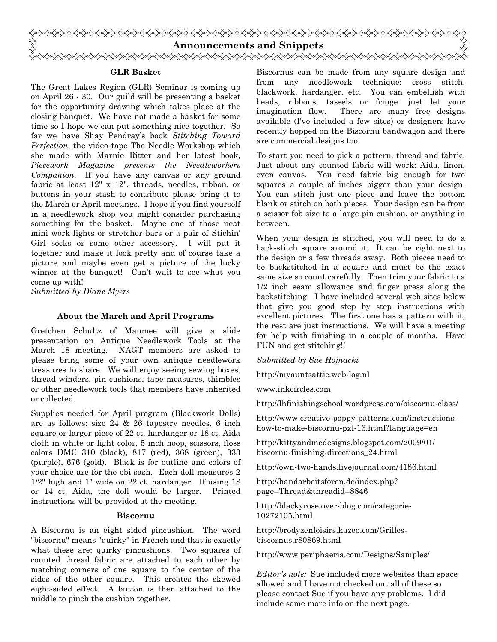

#### GLR Basket

The Great Lakes Region (GLR) Seminar is coming up on April 26 - 30. Our guild will be presenting a basket for the opportunity drawing which takes place at the closing banquet. We have not made a basket for some time so I hope we can put something nice together. So far we have Shay Pendray's book Stitching Toward Perfection, the video tape The Needle Workshop which she made with Marnie Ritter and her latest book, Piecework Magazine presents the Needleworkers Companion. If you have any canvas or any ground fabric at least 12" x 12", threads, needles, ribbon, or buttons in your stash to contribute please bring it to the March or April meetings. I hope if you find yourself in a needlework shop you might consider purchasing something for the basket. Maybe one of those neat mini work lights or stretcher bars or a pair of Stichin' Girl socks or some other accessory. I will put it together and make it look pretty and of course take a picture and maybe even get a picture of the lucky winner at the banquet! Can't wait to see what you come up with!

Submitted by Diane Myers

#### About the March and April Programs

Gretchen Schultz of Maumee will give a slide presentation on Antique Needlework Tools at the March 18 meeting. NAGT members are asked to please bring some of your own antique needlework treasures to share. We will enjoy seeing sewing boxes, thread winders, pin cushions, tape measures, thimbles or other needlework tools that members have inherited or collected.

Supplies needed for April program (Blackwork Dolls) are as follows: size 24 & 26 tapestry needles, 6 inch square or larger piece of 22 ct. hardanger or 18 ct. Aida cloth in white or light color, 5 inch hoop, scissors, floss colors DMC 310 (black), 817 (red), 368 (green), 333 (purple), 676 (gold). Black is for outline and colors of your choice are for the obi sash. Each doll measures 2 1/2" high and 1" wide on 22 ct. hardanger. If using 18 or 14 ct. Aida, the doll would be larger. Printed instructions will be provided at the meeting.

#### Biscornu

A Biscornu is an eight sided pincushion. The word "biscornu" means "quirky" in French and that is exactly what these are: quirky pincushions. Two squares of counted thread fabric are attached to each other by matching corners of one square to the center of the sides of the other square. This creates the skewed eight-sided effect. A button is then attached to the middle to pinch the cushion together.

Biscornus can be made from any square design and from any needlework technique: cross stitch, blackwork, hardanger, etc. You can embellish with beads, ribbons, tassels or fringe: just let your imagination flow. There are many free designs available (I've included a few sites) or designers have recently hopped on the Biscornu bandwagon and there are commercial designs too.

To start you need to pick a pattern, thread and fabric. Just about any counted fabric will work: Aida, linen, even canvas. You need fabric big enough for two squares a couple of inches bigger than your design. You can stitch just one piece and leave the bottom blank or stitch on both pieces. Your design can be from a scissor fob size to a large pin cushion, or anything in between.

When your design is stitched, you will need to do a back-stitch square around it. It can be right next to the design or a few threads away. Both pieces need to be backstitched in a square and must be the exact same size so count carefully. Then trim your fabric to a 1/2 inch seam allowance and finger press along the backstitching. I have included several web sites below that give you good step by step instructions with excellent pictures. The first one has a pattern with it, the rest are just instructions. We will have a meeting for help with finishing in a couple of months. Have FUN and get stitching!!

Submitted by Sue Hojnacki

http://myauntsattic.web-log.nl

www.inkcircles.com

http://lhfinishingschool.wordpress.com/biscornu-class/

http://www.creative-poppy-patterns.com/instructionshow-to-make-biscornu-pxl-16.html?language=en

http://kittyandmedesigns.blogspot.com/2009/01/ biscornu-finishing-directions\_24.html

http://own-two-hands.livejournal.com/4186.html

http://handarbeitsforen.de/index.php? page=Thread&threadid=8846

http://blackyrose.over-blog.com/categorie-10272105.html

http://brodyzenloisirs.kazeo.com/Grillesbiscornus,r80869.html

http://www.periphaeria.com/Designs/Samples/

Editor's note: Sue included more websites than space allowed and I have not checked out all of these so please contact Sue if you have any problems. I did include some more info on the next page.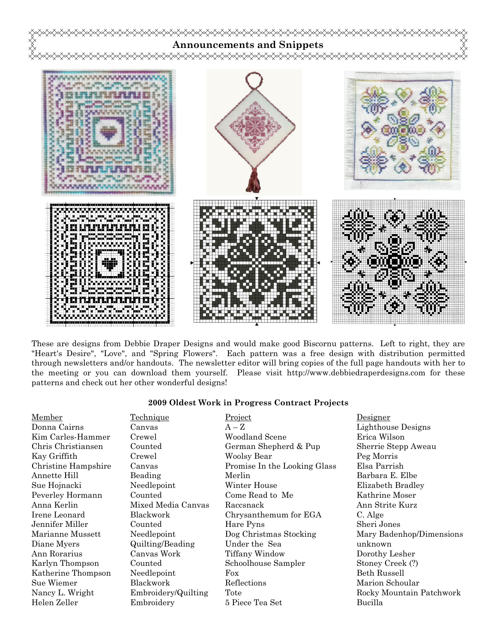

These are designs from Debbie Draper Designs and would make good Biscornu patterns. Left to right, they are "Heart's Desire", "Love", and "Spring Flowers". Each pattern was a free design with distribution permitted through newsletters and/or handouts. The newsletter editor will bring copies of the full page handouts with her to the meeting or you can download them yourself. Please visit http://www.debbiedraperdesigns.com for these patterns and check out her other wonderful designs!

#### 2009 Oldest Work in Progress Contract Projects

| Member              | <u>Technique</u>    | <b>Project</b>               | <u>Designer</u>          |
|---------------------|---------------------|------------------------------|--------------------------|
| Donna Cairns        | Canvas              | $A - Z$                      | Lighthouse Designs       |
| Kim Carles-Hammer   | Crewel              | Woodland Scene               | Erica Wilson             |
| Chris Christiansen  | Counted             | German Shepherd & Pup        | Sherrie Stepp Aweau      |
| Kay Griffith        | Crewel              | Woolsy Bear                  | Peg Morris               |
| Christine Hampshire | Canvas              | Promise In the Looking Glass | Elsa Parrish             |
| Annette Hill        | Beading             | Merlin                       | Barbara E. Elbe          |
| Sue Hojnacki        | Needlepoint         | Winter House                 | Elizabeth Bradley        |
| Peverley Hormann    | Counted             | Come Read to Me              | Kathrine Moser           |
| Anna Kerlin         | Mixed Media Canvas  | Raccsnack                    | Ann Strite Kurz          |
| Irene Leonard       | Blackwork           | Chrysanthemum for EGA        | C. Alge                  |
| Jennifer Miller     | Counted             | Hare Pyns                    | Sheri Jones              |
| Marianne Mussett    | Needlepoint         | Dog Christmas Stocking       | Mary Badenhop/Dimensions |
| Diane Myers         | Quilting/Beading    | Under the Sea                | unknown                  |
| Ann Rorarius        | Canvas Work         | Tiffany Window               | Dorothy Lesher           |
| Karlyn Thompson     | Counted             | Schoolhouse Sampler          | Stoney Creek (?)         |
| Katherine Thompson  | Needlepoint         | <b>Fox</b>                   | Beth Russell             |
| Sue Wiemer          | Blackwork           | Reflections                  | Marion Schoular          |
| Nancy L. Wright     | Embroidery/Quilting | Tote                         | Rocky Mountain Patchwork |
| Helen Zeller        | Embroidery          | 5 Piece Tea Set              | <b>Bucilla</b>           |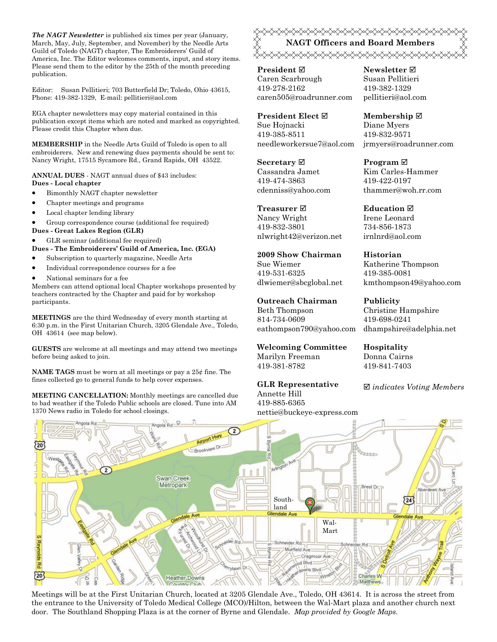The NAGT Newsletter is published six times per year (January, March, May, July, September, and November) by the Needle Arts Guild of Toledo (NAGT) chapter, The Embroiderers' Guild of America, Inc. The Editor welcomes comments, input, and story items. Please send them to the editor by the 25th of the month preceding publication.

Editor: Susan Pellitieri; 703 Butterfield Dr; Toledo, Ohio 43615, Phone: 419-382-1329, E-mail: pellitieri@aol.com

EGA chapter newsletters may copy material contained in this publication except items which are noted and marked as copyrighted. Please credit this Chapter when due.

MEMBERSHIP in the Needle Arts Guild of Toledo is open to all embroiderers. New and renewing dues payments should be sent to: Nancy Wright, 17515 Sycamore Rd., Grand Rapids, OH 43522.

ANNUAL DUES - NAGT annual dues of \$43 includes: Dues - Local chapter

- Bimonthly NAGT chapter newsletter
- Chapter meetings and programs
- Local chapter lending library

• Group correspondence course (additional fee required)

Dues - Great Lakes Region (GLR)

GLR seminar (additional fee required)

Dues - The Embroiderers' Guild of America, Inc. (EGA)

- Subscription to quarterly magazine, Needle Arts
- Individual correspondence courses for a fee
- National seminars for a fee

Members can attend optional local Chapter workshops presented by teachers contracted by the Chapter and paid for by workshop participants.

MEETINGS are the third Wednesday of every month starting at 6:30 p.m. in the First Unitarian Church, 3205 Glendale Ave., Toledo, OH 43614 (see map below).

GUESTS are welcome at all meetings and may attend two meetings before being asked to join.

**NAME TAGS** must be worn at all meetings or pay a  $25¢$  fine. The fines collected go to general funds to help cover expenses.

MEETING CANCELLATION: Monthly meetings are cancelled due to bad weather if the Toledo Public schools are closed. Tune into AM 1370 News radio in Toledo for school closings.

NAGT Officers and Board Members <del></del>

President ⊠ Caren Scarbrough 419-278-2162 caren505@roadrunner.com

President Elect Sue Hojnacki 419-385-8511 needleworkersue7@aol.com

Secretary  $\boxtimes$ Cassandra Jamet 419-474-3863 cdenniss@yahoo.com

Treasurer **⊠** Nancy Wright 419-832-3801 nlwright42@verizon.net

2009 Show Chairman Sue Wiemer 419-531-6325 dlwiemer@sbcglobal.net

Outreach Chairman Beth Thompson 814-734-0609 eathompson790@yahoo.com

Welcoming Committee Marilyn Freeman 419-381-8782

GLR Representative Annette Hill 419-885-6365 nettie@buckeye-express.com Newsletter  $\boxtimes$ Susan Pellitieri 419-382-1329 pellitieri@aol.com

Membership ⊠ Diane Myers 419-832-9571 jrmyers@roadrunner.com

Program **⊠** Kim Carles-Hammer 419-422-0197 thammer@woh.rr.com

**Education ⊠** Irene Leonard 734-856-1873 irnlnrd@aol.com

Historian Katherine Thompson 419-385-0081 kmthompson49@yahoo.com

Publicity Christine Hampshire 419-698-0241 dhampshire@adelphia.net

Hospitality Donna Cairns 419-841-7403

 $\boxtimes$  indicates Voting Members



Meetings will be at the First Unitarian Church, located at 3205 Glendale Ave., Toledo, OH 43614. It is across the street from the entrance to the University of Toledo Medical College (MCO)/Hilton, between the Wal-Mart plaza and another church next door. The Southland Shopping Plaza is at the corner of Byrne and Glendale. Map provided by Google Maps.